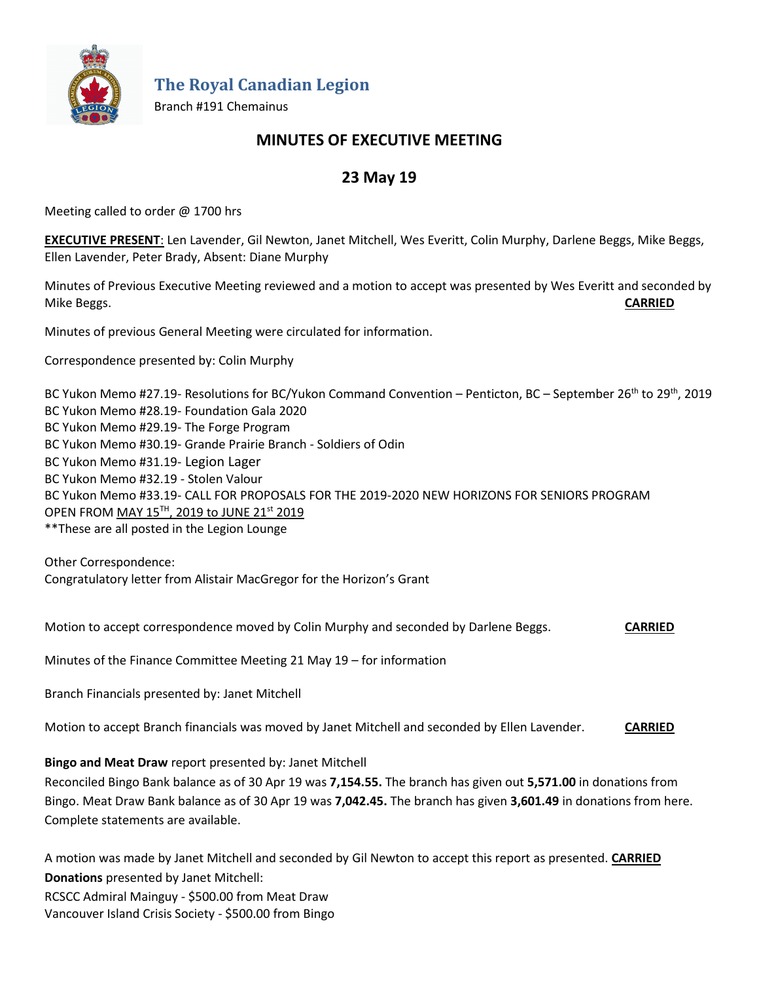

**The Royal Canadian Legion**

Branch #191 Chemainus

# **MINUTES OF EXECUTIVE MEETING**

# **23 May 19**

Meeting called to order @ 1700 hrs

**EXECUTIVE PRESENT**: Len Lavender, Gil Newton, Janet Mitchell, Wes Everitt, Colin Murphy, Darlene Beggs, Mike Beggs, Ellen Lavender, Peter Brady, Absent: Diane Murphy

Minutes of Previous Executive Meeting reviewed and a motion to accept was presented by Wes Everitt and seconded by Mike Beggs. **CARRIED**

Minutes of previous General Meeting were circulated for information.

Correspondence presented by: Colin Murphy

BC Yukon Memo #27.19- Resolutions for BC/Yukon Command Convention – Penticton, BC – September 26<sup>th</sup> to 29<sup>th</sup>, 2019 BC Yukon Memo #28.19- Foundation Gala 2020 BC Yukon Memo #29.19- The Forge Program BC Yukon Memo #30.19- Grande Prairie Branch - Soldiers of Odin BC Yukon Memo #31.19- Legion Lager BC Yukon Memo #32.19 - Stolen Valour BC Yukon Memo #33.19- CALL FOR PROPOSALS FOR THE 2019-2020 NEW HORIZONS FOR SENIORS PROGRAM OPEN FROM MAY 15TH, 2019 to JUNE 21st 2019 \*\*These are all posted in the Legion Lounge

Other Correspondence: Congratulatory letter from Alistair MacGregor for the Horizon's Grant

Motion to accept correspondence moved by Colin Murphy and seconded by Darlene Beggs. **CARRIED**

Minutes of the Finance Committee Meeting 21 May 19 – for information

Branch Financials presented by: Janet Mitchell

Motion to accept Branch financials was moved by Janet Mitchell and seconded by Ellen Lavender. **CARRIED**

**Bingo and Meat Draw** report presented by: Janet Mitchell

Reconciled Bingo Bank balance as of 30 Apr 19 was **7,154.55.** The branch has given out **5,571.00** in donations from Bingo. Meat Draw Bank balance as of 30 Apr 19 was **7,042.45.** The branch has given **3,601.49** in donations from here. Complete statements are available.

A motion was made by Janet Mitchell and seconded by Gil Newton to accept this report as presented. **CARRIED Donations** presented by Janet Mitchell: RCSCC Admiral Mainguy - \$500.00 from Meat Draw Vancouver Island Crisis Society - \$500.00 from Bingo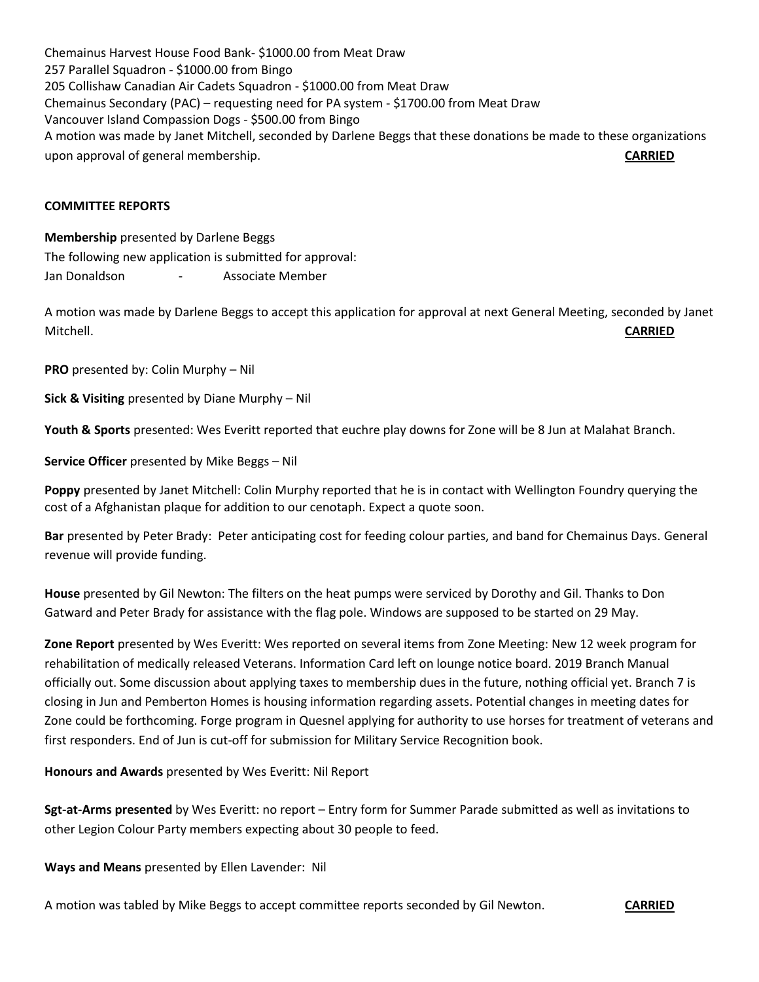Chemainus Harvest House Food Bank- \$1000.00 from Meat Draw 257 Parallel Squadron - \$1000.00 from Bingo 205 Collishaw Canadian Air Cadets Squadron - \$1000.00 from Meat Draw Chemainus Secondary (PAC) – requesting need for PA system - \$1700.00 from Meat Draw Vancouver Island Compassion Dogs - \$500.00 from Bingo A motion was made by Janet Mitchell, seconded by Darlene Beggs that these donations be made to these organizations upon approval of general membership. **CARRIED**

## **COMMITTEE REPORTS**

**Membership** presented by Darlene Beggs The following new application is submitted for approval: Jan Donaldson - Associate Member

A motion was made by Darlene Beggs to accept this application for approval at next General Meeting, seconded by Janet Mitchell. **CARRIED**

**PRO** presented by: Colin Murphy – Nil

**Sick & Visiting** presented by Diane Murphy – Nil

**Youth & Sports** presented: Wes Everitt reported that euchre play downs for Zone will be 8 Jun at Malahat Branch.

**Service Officer** presented by Mike Beggs – Nil

**Poppy** presented by Janet Mitchell: Colin Murphy reported that he is in contact with Wellington Foundry querying the cost of a Afghanistan plaque for addition to our cenotaph. Expect a quote soon.

**Bar** presented by Peter Brady: Peter anticipating cost for feeding colour parties, and band for Chemainus Days. General revenue will provide funding.

**House** presented by Gil Newton: The filters on the heat pumps were serviced by Dorothy and Gil. Thanks to Don Gatward and Peter Brady for assistance with the flag pole. Windows are supposed to be started on 29 May.

**Zone Report** presented by Wes Everitt: Wes reported on several items from Zone Meeting: New 12 week program for rehabilitation of medically released Veterans. Information Card left on lounge notice board. 2019 Branch Manual officially out. Some discussion about applying taxes to membership dues in the future, nothing official yet. Branch 7 is closing in Jun and Pemberton Homes is housing information regarding assets. Potential changes in meeting dates for Zone could be forthcoming. Forge program in Quesnel applying for authority to use horses for treatment of veterans and first responders. End of Jun is cut-off for submission for Military Service Recognition book.

**Honours and Awards** presented by Wes Everitt: Nil Report

**Sgt-at-Arms presented** by Wes Everitt: no report – Entry form for Summer Parade submitted as well as invitations to other Legion Colour Party members expecting about 30 people to feed.

**Ways and Means** presented by Ellen Lavender: Nil

A motion was tabled by Mike Beggs to accept committee reports seconded by Gil Newton. **CARRIED**